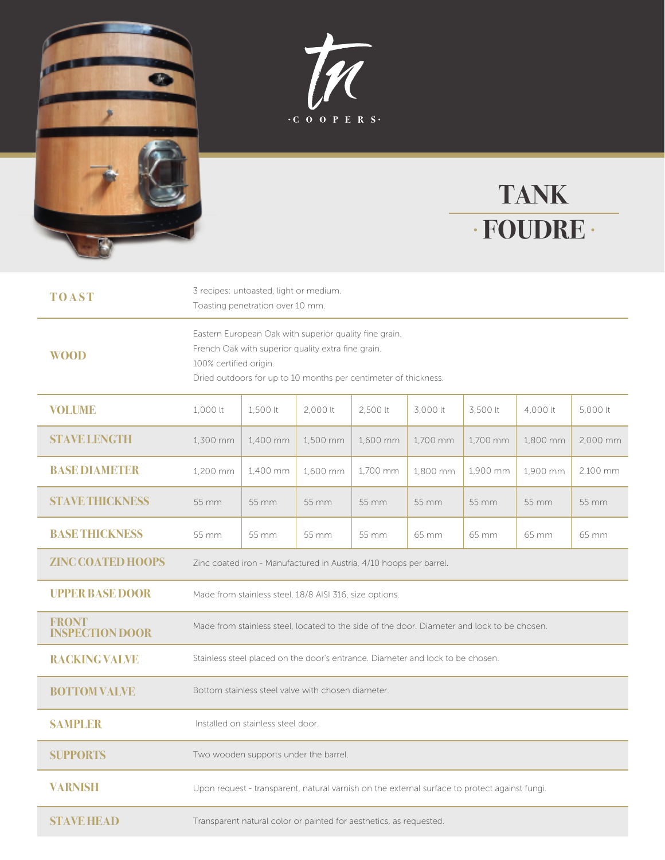





| <b>TOAST</b>                           | 3 recipes: untoasted, light or medium.<br>Toasting penetration over 10 mm.                                                                                                                                |          |          |          |          |          |          |          |
|----------------------------------------|-----------------------------------------------------------------------------------------------------------------------------------------------------------------------------------------------------------|----------|----------|----------|----------|----------|----------|----------|
| <b>WOOD</b>                            | Eastern European Oak with superior quality fine grain.<br>French Oak with superior quality extra fine grain.<br>100% certified origin.<br>Dried outdoors for up to 10 months per centimeter of thickness. |          |          |          |          |          |          |          |
| <b>VOLUME</b>                          | 1,000 lt                                                                                                                                                                                                  | 1,500 lt | 2,000 lt | 2,500 lt | 3,000 lt | 3,500 lt | 4,000 lt | 5,000 lt |
| <b>STAVE LENGTH</b>                    | 1.300 mm                                                                                                                                                                                                  | 1.400 mm | 1.500 mm | 1.600 mm | 1.700 mm | 1.700 mm | 1.800 mm | 2.000 mm |
| <b>BASE DIAMETER</b>                   | 1,200 mm                                                                                                                                                                                                  | 1,400 mm | 1,600 mm | 1,700 mm | 1,800 mm | 1,900 mm | 1,900 mm | 2,100 mm |
| <b>STAVE THICKNESS</b>                 | 55 mm                                                                                                                                                                                                     | 55 mm    | 55 mm    | 55 mm    | 55 mm    | 55 mm    | 55 mm    | 55 mm    |
| <b>BASETHICKNESS</b>                   | 55 mm                                                                                                                                                                                                     | 55 mm    | 55 mm    | 55 mm    | 65 mm    | 65 mm    | 65 mm    | 65 mm    |
| <b>ZINC COATED HOOPS</b>               | Zinc coated iron - Manufactured in Austria, 4/10 hoops per barrel.                                                                                                                                        |          |          |          |          |          |          |          |
| <b>UPPER BASE DOOR</b>                 | Made from stainless steel, 18/8 AISI 316, size options.                                                                                                                                                   |          |          |          |          |          |          |          |
| <b>FRONT</b><br><b>INSPECTION DOOR</b> | Made from stainless steel, located to the side of the door. Diameter and lock to be chosen.                                                                                                               |          |          |          |          |          |          |          |
| <b>RACKING VALVE</b>                   | Stainless steel placed on the door's entrance. Diameter and lock to be chosen.                                                                                                                            |          |          |          |          |          |          |          |
| <b>BOTTOM VALVE</b>                    | Bottom stainless steel valve with chosen diameter.                                                                                                                                                        |          |          |          |          |          |          |          |
| <b>SAMPLER</b>                         | Installed on stainless steel door.                                                                                                                                                                        |          |          |          |          |          |          |          |
| <b>SUPPORTS</b>                        | Two wooden supports under the barrel.                                                                                                                                                                     |          |          |          |          |          |          |          |
| <b>VARNISH</b>                         | Upon request - transparent, natural varnish on the external surface to protect against fungi.                                                                                                             |          |          |          |          |          |          |          |
| <b>STAVE HEAD</b>                      | Transparent natural color or painted for aesthetics, as requested.                                                                                                                                        |          |          |          |          |          |          |          |